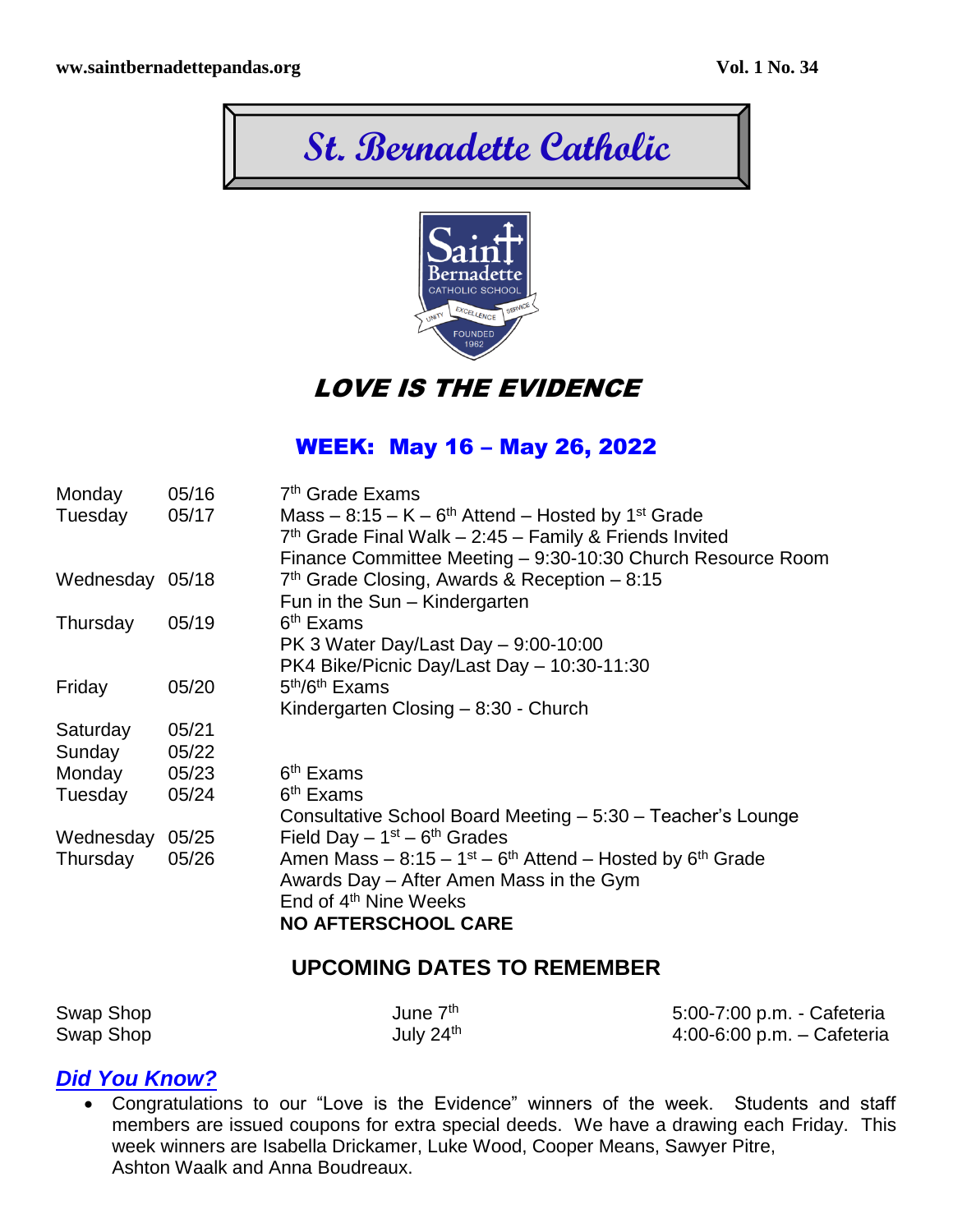



LOVE IS THE EVIDENCE

# WEEK: May 16 – May 26, 2022

| Monday          | 05/16 | 7 <sup>th</sup> Grade Exams                                                                     |
|-----------------|-------|-------------------------------------------------------------------------------------------------|
| Tuesday         | 05/17 | Mass $-8:15 - K - 6th$ Attend $-$ Hosted by 1 <sup>st</sup> Grade                               |
|                 |       | $7th$ Grade Final Walk - 2:45 - Family & Friends Invited                                        |
|                 |       | Finance Committee Meeting - 9:30-10:30 Church Resource Room                                     |
| Wednesday 05/18 |       | 7th Grade Closing, Awards & Reception - 8:15                                                    |
|                 |       | Fun in the Sun – Kindergarten                                                                   |
| Thursday        | 05/19 | 6 <sup>th</sup> Exams                                                                           |
|                 |       | PK 3 Water Day/Last Day - 9:00-10:00                                                            |
|                 |       | PK4 Bike/Picnic Day/Last Day - 10:30-11:30                                                      |
| Friday          | 05/20 | 5 <sup>th</sup> /6 <sup>th</sup> Exams                                                          |
|                 |       | Kindergarten Closing $-8:30$ - Church                                                           |
| Saturday        | 05/21 |                                                                                                 |
| Sunday          | 05/22 |                                                                                                 |
| Monday          | 05/23 | 6 <sup>th</sup> Exams                                                                           |
| Tuesday         | 05/24 | 6 <sup>th</sup> Exams                                                                           |
|                 |       | Consultative School Board Meeting - 5:30 - Teacher's Lounge                                     |
| Wednesday       | 05/25 | Field Day $-1st - 6th$ Grades                                                                   |
| Thursday        | 05/26 | Amen Mass $-8:15-1$ <sup>st</sup> $-6$ <sup>th</sup> Attend $-$ Hosted by 6 <sup>th</sup> Grade |
|                 |       | Awards Day – After Amen Mass in the Gym                                                         |
|                 |       | End of 4 <sup>th</sup> Nine Weeks                                                               |
|                 |       | <b>NO AFTERSCHOOL CARE</b>                                                                      |

### **UPCOMING DATES TO REMEMBER**

| Swap Shop | June 7 <sup>th</sup>  | 5:00-7:00 p.m. - Cafeteria |
|-----------|-----------------------|----------------------------|
| Swap Shop | July 24 <sup>th</sup> | 4:00-6:00 p.m. - Cafeteria |

### *Did You Know?*

 Congratulations to our "Love is the Evidence" winners of the week. Students and staff members are issued coupons for extra special deeds. We have a drawing each Friday. This week winners are Isabella Drickamer, Luke Wood, Cooper Means, Sawyer Pitre, Ashton Waalk and Anna Boudreaux.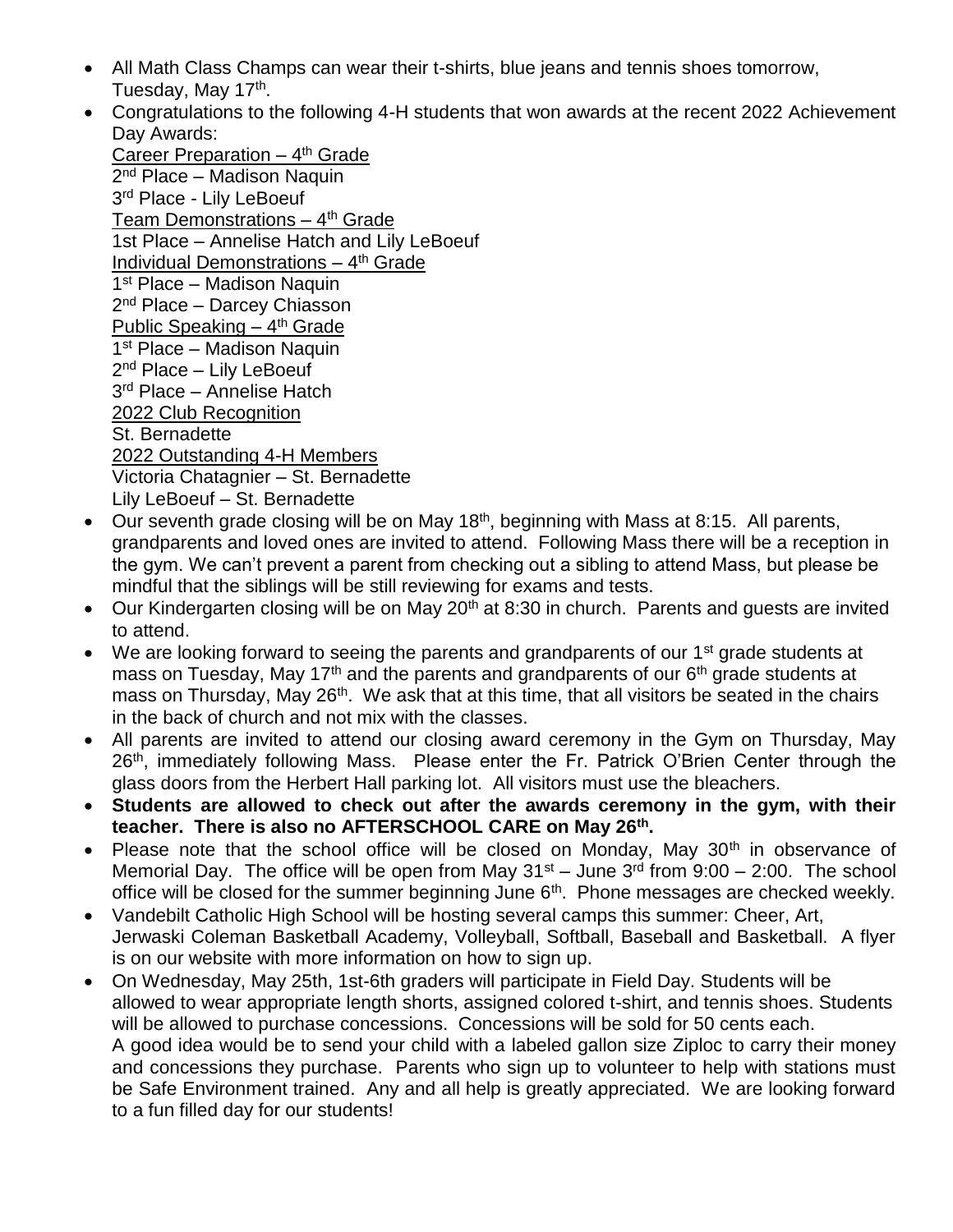- All Math Class Champs can wear their t-shirts, blue jeans and tennis shoes tomorrow, Tuesday, May 17<sup>th</sup>.
- Congratulations to the following 4-H students that won awards at the recent 2022 Achievement Day Awards:

Career Preparation - 4<sup>th</sup> Grade 2<sup>nd</sup> Place – Madison Naquin 3<sup>rd</sup> Place - Lily LeBoeuf Team Demonstrations – 4<sup>th</sup> Grade 1st Place – Annelise Hatch and Lily LeBoeuf Individual Demonstrations - 4<sup>th</sup> Grade 1<sup>st</sup> Place - Madison Naquin 2<sup>nd</sup> Place – Darcey Chiasson Public Speaking - 4<sup>th</sup> Grade 1<sup>st</sup> Place - Madison Naquin 2<sup>nd</sup> Place – Lily LeBoeuf 3 rd Place – Annelise Hatch 2022 Club Recognition St. Bernadette 2022 Outstanding 4-H Members Victoria Chatagnier – St. Bernadette Lily LeBoeuf – St. Bernadette

- $\bullet$  Our seventh grade closing will be on May 18<sup>th</sup>, beginning with Mass at 8:15. All parents, grandparents and loved ones are invited to attend. Following Mass there will be a reception in the gym. We can't prevent a parent from checking out a sibling to attend Mass, but please be mindful that the siblings will be still reviewing for exams and tests.
- Our Kindergarten closing will be on May 20<sup>th</sup> at 8:30 in church. Parents and quests are invited to attend.
- We are looking forward to seeing the parents and grandparents of our 1<sup>st</sup> grade students at mass on Tuesday, May 17<sup>th</sup> and the parents and grandparents of our  $6<sup>th</sup>$  grade students at mass on Thursday, May 26<sup>th</sup>. We ask that at this time, that all visitors be seated in the chairs in the back of church and not mix with the classes.
- All parents are invited to attend our closing award ceremony in the Gym on Thursday, May 26<sup>th</sup>, immediately following Mass. Please enter the Fr. Patrick O'Brien Center through the glass doors from the Herbert Hall parking lot. All visitors must use the bleachers.
- **Students are allowed to check out after the awards ceremony in the gym, with their teacher. There is also no AFTERSCHOOL CARE on May 26th .**
- Please note that the school office will be closed on Monday, May  $30<sup>th</sup>$  in observance of Memorial Day. The office will be open from May  $31^{st}$  – June  $3^{rd}$  from  $9:00 - 2:00$ . The school office will be closed for the summer beginning June  $6<sup>th</sup>$ . Phone messages are checked weekly.
- Vandebilt Catholic High School will be hosting several camps this summer: Cheer, Art, Jerwaski Coleman Basketball Academy, Volleyball, Softball, Baseball and Basketball. A flyer is on our website with more information on how to sign up.
- On Wednesday, May 25th, 1st-6th graders will participate in Field Day. Students will be allowed to wear appropriate length shorts, assigned colored t-shirt, and tennis shoes. Students will be allowed to purchase concessions. Concessions will be sold for 50 cents each. A good idea would be to send your child with a labeled gallon size Ziploc to carry their money and concessions they purchase. Parents who sign up to volunteer to help with stations must be Safe Environment trained. Any and all help is greatly appreciated. We are looking forward to a fun filled day for our students!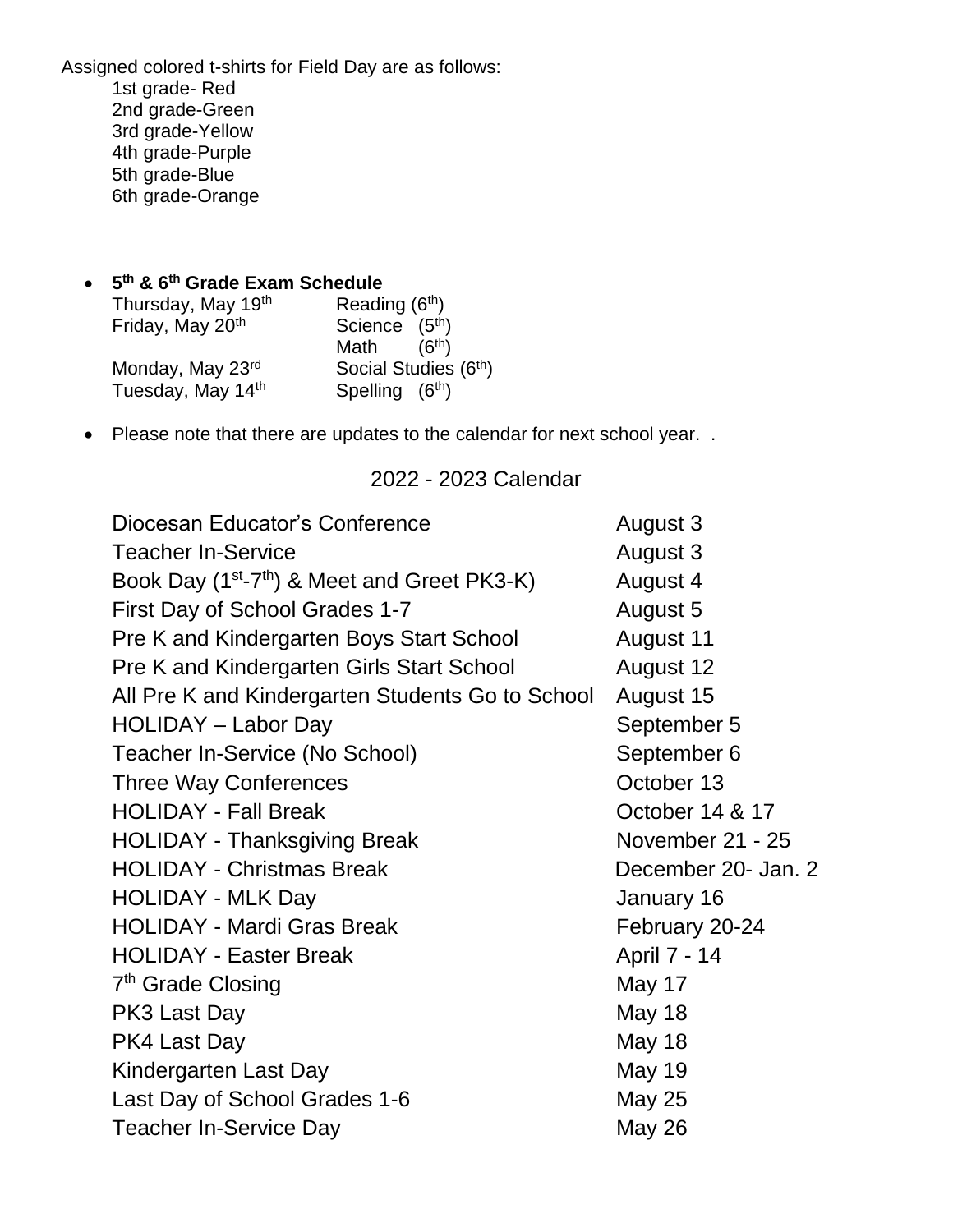Assigned colored t-shirts for Field Day are as follows: 1st grade- Red 2nd grade-Green 3rd grade-Yellow 4th grade-Purple 5th grade-Blue 6th grade-Orange

#### **5 th & 6th Grade Exam Schedule**

| Thursday, May 19th | Reading (6 <sup>th</sup> ) |
|--------------------|----------------------------|
| Friday, May 20th   | Science (5 <sup>th</sup> ) |
|                    | Math $(6th)$               |
| Monday, May 23rd   | Social Studies (6th)       |
| Tuesday, May 14th  | Spelling (6th)             |

• Please note that there are updates to the calendar for next school year. .

#### 2022 - 2023 Calendar

| Diocesan Educator's Conference                                       | August 3            |
|----------------------------------------------------------------------|---------------------|
| <b>Teacher In-Service</b>                                            | August 3            |
| Book Day (1 <sup>st</sup> -7 <sup>th</sup> ) & Meet and Greet PK3-K) | August 4            |
| First Day of School Grades 1-7                                       | August 5            |
| Pre K and Kindergarten Boys Start School                             | August 11           |
| Pre K and Kindergarten Girls Start School                            | August 12           |
| All Pre K and Kindergarten Students Go to School                     | August 15           |
| HOLIDAY - Labor Day                                                  | September 5         |
| Teacher In-Service (No School)                                       | September 6         |
| <b>Three Way Conferences</b>                                         | October 13          |
| <b>HOLIDAY - Fall Break</b>                                          | October 14 & 17     |
| <b>HOLIDAY - Thanksgiving Break</b>                                  | November 21 - 25    |
| <b>HOLIDAY - Christmas Break</b>                                     | December 20- Jan. 2 |
| <b>HOLIDAY - MLK Day</b>                                             | January 16          |
| <b>HOLIDAY - Mardi Gras Break</b>                                    | February 20-24      |
| <b>HOLIDAY - Easter Break</b>                                        | April 7 - 14        |
| 7 <sup>th</sup> Grade Closing                                        | May 17              |
| PK3 Last Day                                                         | <b>May 18</b>       |
| PK4 Last Day                                                         | <b>May 18</b>       |
| Kindergarten Last Day                                                | May 19              |
| Last Day of School Grades 1-6                                        | <b>May 25</b>       |
| <b>Teacher In-Service Day</b>                                        | <b>May 26</b>       |